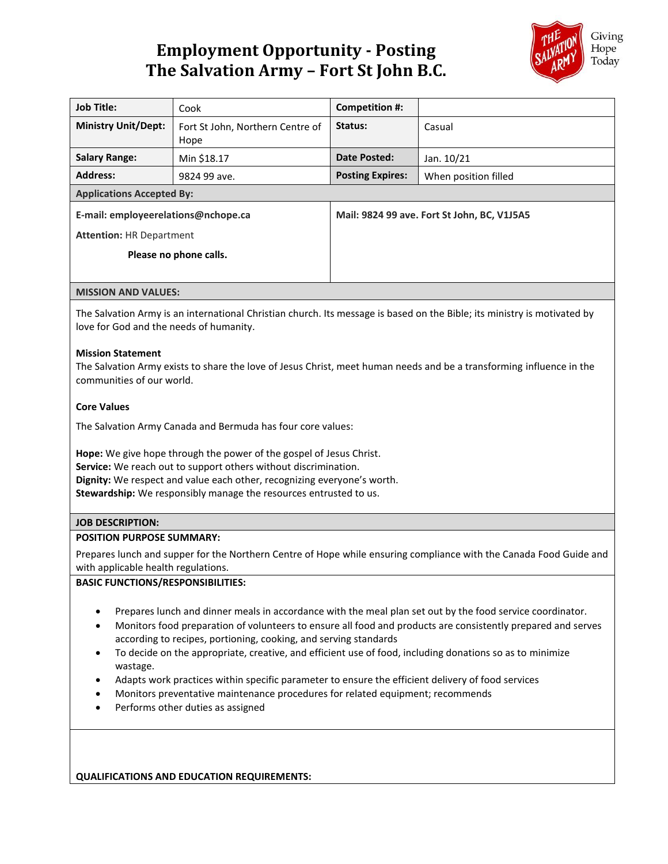# **Employment Opportunity - Posting The Salvation Army – Fort St John B.C.**



| <b>Job Title:</b>                   | Cook                                     | Competition #:                              |                      |
|-------------------------------------|------------------------------------------|---------------------------------------------|----------------------|
| <b>Ministry Unit/Dept:</b>          | Fort St John, Northern Centre of<br>Hope | Status:                                     | Casual               |
| <b>Salary Range:</b>                | Min \$18.17                              | Date Posted:                                | Jan. 10/21           |
| <b>Address:</b>                     | 9824 99 ave.                             | <b>Posting Expires:</b>                     | When position filled |
| <b>Applications Accepted By:</b>    |                                          |                                             |                      |
| E-mail: employeerelations@nchope.ca |                                          | Mail: 9824 99 ave. Fort St John, BC, V1J5A5 |                      |
| <b>Attention: HR Department</b>     |                                          |                                             |                      |
| Please no phone calls.              |                                          |                                             |                      |
|                                     |                                          |                                             |                      |
|                                     |                                          |                                             |                      |

## **MISSION AND VALUES:**

The Salvation Army is an international Christian church. Its message is based on the Bible; its ministry is motivated by love for God and the needs of humanity.

## **Mission Statement**

The Salvation Army exists to share the love of Jesus Christ, meet human needs and be a transforming influence in the communities of our world.

## **Core Values**

The Salvation Army Canada and Bermuda has four core values:

**Hope:** We give hope through the power of the gospel of Jesus Christ. **Service:** We reach out to support others without discrimination. **Dignity:** We respect and value each other, recognizing everyone's worth. **Stewardship:** We responsibly manage the resources entrusted to us.

# **JOB DESCRIPTION:**

### **POSITION PURPOSE SUMMARY:**

Prepares lunch and supper for the Northern Centre of Hope while ensuring compliance with the Canada Food Guide and with applicable health regulations.

## **BASIC FUNCTIONS/RESPONSIBILITIES:**

- Prepares lunch and dinner meals in accordance with the meal plan set out by the food service coordinator.
- Monitors food preparation of volunteers to ensure all food and products are consistently prepared and serves according to recipes, portioning, cooking, and serving standards
- To decide on the appropriate, creative, and efficient use of food, including donations so as to minimize wastage.
- Adapts work practices within specific parameter to ensure the efficient delivery of food services
- Monitors preventative maintenance procedures for related equipment; recommends
- Performs other duties as assigned

**QUALIFICATIONS AND EDUCATION REQUIREMENTS:**